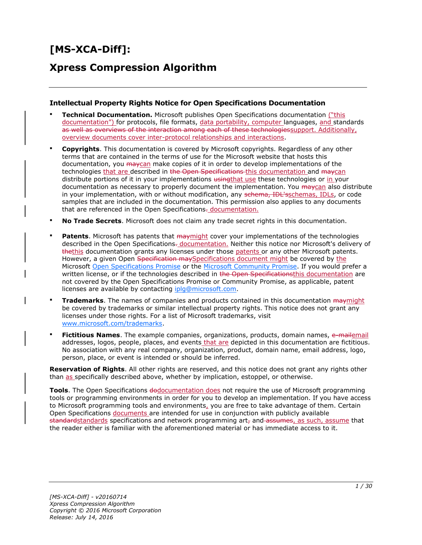# **[MS-XCA-Diff]:**

# **Xpress Compression Algorithm**

#### **Intellectual Property Rights Notice for Open Specifications Documentation**

- **Technical Documentation.** Microsoft publishes Open Specifications documentation ("this documentation") for protocols, file formats, data portability, computer languages, and standards as well as overviews of the interaction among each of these technologies support. Additionally, overview documents cover inter-protocol relationships and interactions.
- **Copyrights**. This documentation is covered by Microsoft copyrights. Regardless of any other terms that are contained in the terms of use for the Microsoft website that hosts this documentation, you maycan make copies of it in order to develop implementations of the technologies that are described in the Open Specifications-this documentation and maycan distribute portions of it in your implementations using that use these technologies or in your documentation as necessary to properly document the implementation. You may can also distribute in your implementation, with or without modification, any schema, IDL'sschemas, IDLs, or code samples that are included in the documentation. This permission also applies to any documents that are referenced in the Open Specifications- documentation.
- **No Trade Secrets**. Microsoft does not claim any trade secret rights in this documentation.
- **Patents**. Microsoft has patents that maymight cover your implementations of the technologies described in the Open Specifications. documentation. Neither this notice nor Microsoft's delivery of thethis documentation grants any licenses under those patents or any other Microsoft patents. However, a given Open Specification may Specifications document might be covered by the Microsoft [Open Specifications Promise](http://go.microsoft.com/fwlink/?LinkId=214445) or the [Microsoft Community Promise.](http://go.microsoft.com/fwlink/?LinkId=214448) If you would prefer a written license, or if the technologies described in the Open Specificationsthis documentation are not covered by the Open Specifications Promise or Community Promise, as applicable, patent licenses are available by contacting [iplg@microsoft.com.](mailto:iplg@microsoft.com)
- **Trademarks**. The names of companies and products contained in this documentation maymight be covered by trademarks or similar intellectual property rights. This notice does not grant any licenses under those rights. For a list of Microsoft trademarks, visit [www.microsoft.com/trademarks.](http://www.microsoft.com/trademarks)
- Fictitious Names. The example companies, organizations, products, domain names, e-mailemail addresses, logos, people, places, and events that are depicted in this documentation are fictitious. No association with any real company, organization, product, domain name, email address, logo, person, place, or event is intended or should be inferred.

**Reservation of Rights**. All other rights are reserved, and this notice does not grant any rights other than as specifically described above, whether by implication, estoppel, or otherwise.

**Tools**. The Open Specifications dodocumentation does not require the use of Microsoft programming tools or programming environments in order for you to develop an implementation. If you have access to Microsoft programming tools and environments, you are free to take advantage of them. Certain Open Specifications documents are intended for use in conjunction with publicly available standardstandards specifications and network programming art, and assumes, as such, assume that the reader either is familiar with the aforementioned material or has immediate access to it.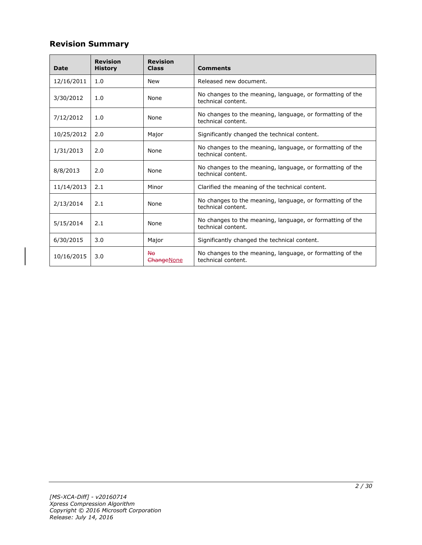# **Revision Summary**

| <b>Date</b> | <b>Revision</b><br><b>History</b> | <b>Revision</b><br><b>Class</b> | <b>Comments</b>                                                                 |  |  |  |
|-------------|-----------------------------------|---------------------------------|---------------------------------------------------------------------------------|--|--|--|
| 12/16/2011  | 1.0                               | <b>New</b>                      | Released new document.                                                          |  |  |  |
| 3/30/2012   | 1.0                               | None                            | No changes to the meaning, language, or formatting of the<br>technical content. |  |  |  |
| 7/12/2012   | 1.0                               | None                            | No changes to the meaning, language, or formatting of the<br>technical content. |  |  |  |
| 10/25/2012  | 2.0                               | Major                           | Significantly changed the technical content.                                    |  |  |  |
| 1/31/2013   | 2.0                               | None                            | No changes to the meaning, language, or formatting of the<br>technical content. |  |  |  |
| 8/8/2013    | 2.0                               | None                            | No changes to the meaning, language, or formatting of the<br>technical content. |  |  |  |
| 11/14/2013  | 2.1                               | Minor                           | Clarified the meaning of the technical content.                                 |  |  |  |
| 2/13/2014   | 2.1                               | None                            | No changes to the meaning, language, or formatting of the<br>technical content. |  |  |  |
| 5/15/2014   | 2.1                               | None                            | No changes to the meaning, language, or formatting of the<br>technical content. |  |  |  |
| 6/30/2015   | 3.0                               | Major                           | Significantly changed the technical content.                                    |  |  |  |
| 10/16/2015  | 3.0                               | <b>No</b><br>ChangeNone         | No changes to the meaning, language, or formatting of the<br>technical content. |  |  |  |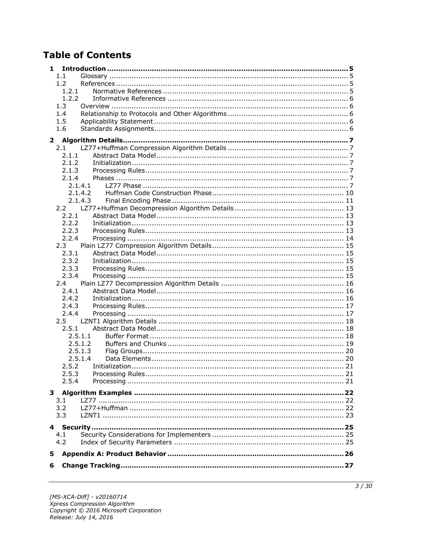# **Table of Contents**

| 1             |         |  |  |  |
|---------------|---------|--|--|--|
| 1.1           |         |  |  |  |
| 1.2           |         |  |  |  |
| 1.2.1         |         |  |  |  |
| 1.2.2         |         |  |  |  |
| 1.3           |         |  |  |  |
| 1.4           |         |  |  |  |
| 1.5           |         |  |  |  |
| 1.6           |         |  |  |  |
| $\mathbf{2}$  |         |  |  |  |
| 2.1           |         |  |  |  |
| 2.1.1         |         |  |  |  |
| 2.1.2         |         |  |  |  |
| 2.1.3         |         |  |  |  |
| 2.1.4         |         |  |  |  |
|               | 2.1.4.1 |  |  |  |
|               | 2.1.4.2 |  |  |  |
|               | 2.1.4.3 |  |  |  |
| 2.2           |         |  |  |  |
| 2.2.1         |         |  |  |  |
| 2.2.2         |         |  |  |  |
| 2.2.3         |         |  |  |  |
| 2.2.4         |         |  |  |  |
| 2.3           |         |  |  |  |
| 2.3.1         |         |  |  |  |
| 2.3.2         |         |  |  |  |
| 2.3.3         |         |  |  |  |
| 2.3.4         |         |  |  |  |
| $2.4^{\circ}$ |         |  |  |  |
| 2.4.1         |         |  |  |  |
| 2.4.2         |         |  |  |  |
| 2.4.3         |         |  |  |  |
| 2.4.4         |         |  |  |  |
| $2.5^{\circ}$ |         |  |  |  |
| 2.5.1         |         |  |  |  |
|               | 2.5.1.1 |  |  |  |
|               | 2.5.1.2 |  |  |  |
|               | 2.5.1.3 |  |  |  |
|               | 2.5.1.4 |  |  |  |
| 2.5.2         |         |  |  |  |
| 2.5.3         |         |  |  |  |
| 2.5.4         |         |  |  |  |
|               |         |  |  |  |
|               |         |  |  |  |
| 3.1<br>3.2    |         |  |  |  |
| 3.3           |         |  |  |  |
|               |         |  |  |  |
|               |         |  |  |  |
| 4.1           |         |  |  |  |
| 4.2           |         |  |  |  |
| 5             |         |  |  |  |
|               |         |  |  |  |
| 6             |         |  |  |  |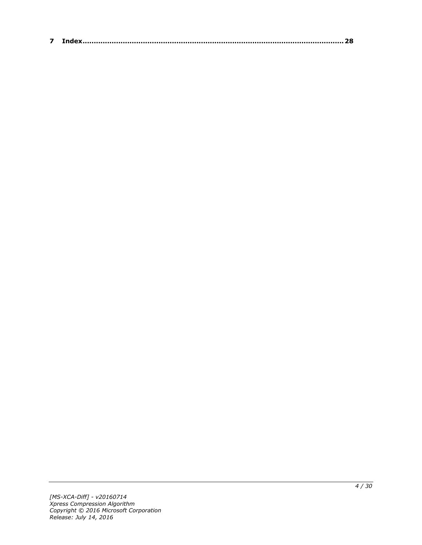| $\sim$ |  |
|--------|--|
|--------|--|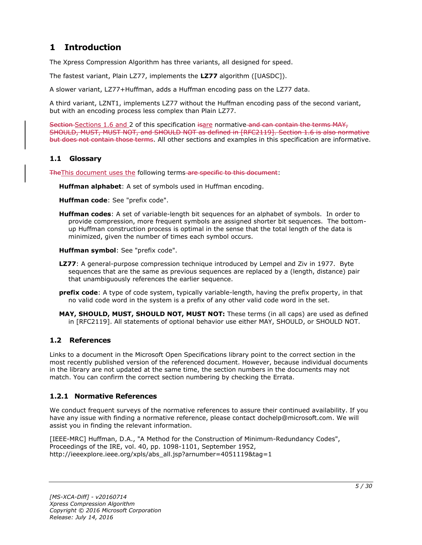# <span id="page-4-0"></span>**1 Introduction**

The Xpress Compression Algorithm has three variants, all designed for speed.

The fastest variant, Plain LZ77, implements the **LZ77** algorithm ([UASDC]).

A slower variant, LZ77+Huffman, adds a Huffman encoding pass on the LZ77 data.

A third variant, LZNT1, implements LZ77 without the Huffman encoding pass of the second variant, but with an encoding process less complex than Plain LZ77.

Section Sections 1.6 and 2 of this specification isare normative and can contain the terms MAY, SHOULD, MUST, MUST NOT, and SHOULD NOT as defined in [RFC2119]. Section 1.6 is also normative but does not contain those terms. All other sections and examples in this specification are informative.

#### <span id="page-4-1"></span>**1.1 Glossary**

The This document uses the following terms are specific to this document:

**Huffman alphabet**: A set of symbols used in Huffman encoding.

**Huffman code**: See "prefix code".

**Huffman codes**: A set of variable-length bit sequences for an alphabet of symbols. In order to provide compression, more frequent symbols are assigned shorter bit sequences. The bottomup Huffman construction process is optimal in the sense that the total length of the data is minimized, given the number of times each symbol occurs.

**Huffman symbol**: See "prefix code".

- **LZ77**: A general-purpose compression technique introduced by Lempel and Ziv in 1977. Byte sequences that are the same as previous sequences are replaced by a (length, distance) pair that unambiguously references the earlier sequence.
- **prefix code**: A type of code system, typically variable-length, having the prefix property, in that no valid code word in the system is a prefix of any other valid code word in the set.
- **MAY, SHOULD, MUST, SHOULD NOT, MUST NOT:** These terms (in all caps) are used as defined in [RFC2119]. All statements of optional behavior use either MAY, SHOULD, or SHOULD NOT.

### <span id="page-4-2"></span>**1.2 References**

Links to a document in the Microsoft Open Specifications library point to the correct section in the most recently published version of the referenced document. However, because individual documents in the library are not updated at the same time, the section numbers in the documents may not match. You can confirm the correct section numbering by checking the Errata.

### <span id="page-4-3"></span>**1.2.1 Normative References**

We conduct frequent surveys of the normative references to assure their continued availability. If you have any issue with finding a normative reference, please contact dochelp@microsoft.com. We will assist you in finding the relevant information.

[IEEE-MRC] Huffman, D.A., "A Method for the Construction of Minimum-Redundancy Codes", Proceedings of the IRE, vol. 40, pp. 1098-1101, September 1952, http://ieeexplore.ieee.org/xpls/abs\_all.jsp?arnumber=4051119&tag=1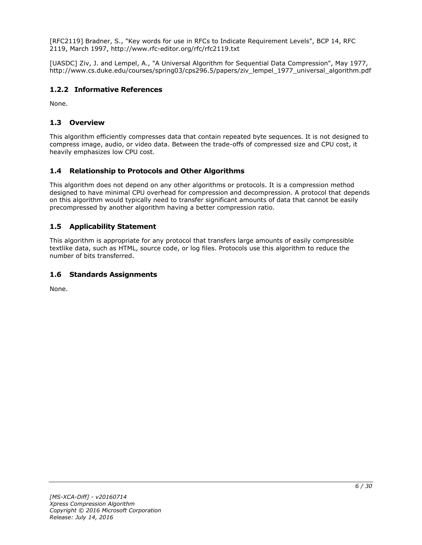[RFC2119] Bradner, S., "Key words for use in RFCs to Indicate Requirement Levels", BCP 14, RFC 2119, March 1997, http://www.rfc-editor.org/rfc/rfc2119.txt

[UASDC] Ziv, J. and Lempel, A., "A Universal Algorithm for Sequential Data Compression", May 1977, http://www.cs.duke.edu/courses/spring03/cps296.5/papers/ziv\_lempel\_1977\_universal\_algorithm.pdf

### <span id="page-5-0"></span>**1.2.2 Informative References**

None.

### <span id="page-5-1"></span>**1.3 Overview**

This algorithm efficiently compresses data that contain repeated byte sequences. It is not designed to compress image, audio, or video data. Between the trade-offs of compressed size and CPU cost, it heavily emphasizes low CPU cost.

# <span id="page-5-2"></span>**1.4 Relationship to Protocols and Other Algorithms**

This algorithm does not depend on any other algorithms or protocols. It is a compression method designed to have minimal CPU overhead for compression and decompression. A protocol that depends on this algorithm would typically need to transfer significant amounts of data that cannot be easily precompressed by another algorithm having a better compression ratio.

# <span id="page-5-3"></span>**1.5 Applicability Statement**

This algorithm is appropriate for any protocol that transfers large amounts of easily compressible textlike data, such as HTML, source code, or log files. Protocols use this algorithm to reduce the number of bits transferred.

### <span id="page-5-4"></span>**1.6 Standards Assignments**

None.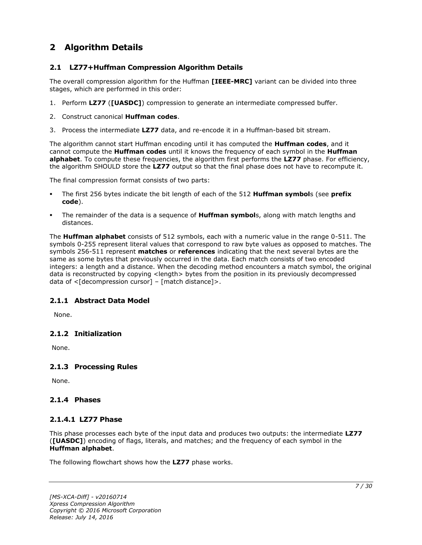# <span id="page-6-0"></span>**2 Algorithm Details**

### <span id="page-6-1"></span>**2.1 LZ77+Huffman Compression Algorithm Details**

The overall compression algorithm for the Huffman **[IEEE-MRC]** variant can be divided into three stages, which are performed in this order:

- 1. Perform **LZ77** (**[UASDC]**) compression to generate an intermediate compressed buffer.
- 2. Construct canonical **Huffman codes**.
- 3. Process the intermediate **LZ77** data, and re-encode it in a Huffman-based bit stream.

The algorithm cannot start Huffman encoding until it has computed the **Huffman codes**, and it cannot compute the **Huffman codes** until it knows the frequency of each symbol in the **Huffman alphabet**. To compute these frequencies, the algorithm first performs the **LZ77** phase. For efficiency, the algorithm SHOULD store the **LZ77** output so that the final phase does not have to recompute it.

The final compression format consists of two parts:

- The first 256 bytes indicate the bit length of each of the 512 **Huffman symbol**s (see **prefix code**).
- The remainder of the data is a sequence of **Huffman symbol**s, along with match lengths and distances.

The **Huffman alphabet** consists of 512 symbols, each with a numeric value in the range 0-511. The symbols 0-255 represent literal values that correspond to raw byte values as opposed to matches. The symbols 256-511 represent **matches** or **references** indicating that the next several bytes are the same as some bytes that previously occurred in the data. Each match consists of two encoded integers: a length and a distance. When the decoding method encounters a match symbol, the original data is reconstructed by copying <length> bytes from the position in its previously decompressed data of  $\leq$ [decompression cursor] – [match distance]>.

### <span id="page-6-2"></span>**2.1.1 Abstract Data Model**

None.

### <span id="page-6-3"></span>**2.1.2 Initialization**

None.

### <span id="page-6-4"></span>**2.1.3 Processing Rules**

None.

#### <span id="page-6-5"></span>**2.1.4 Phases**

#### <span id="page-6-6"></span>**2.1.4.1 LZ77 Phase**

This phase processes each byte of the input data and produces two outputs: the intermediate **LZ77** (**[UASDC]**) encoding of flags, literals, and matches; and the frequency of each symbol in the **Huffman alphabet**.

The following flowchart shows how the **LZ77** phase works.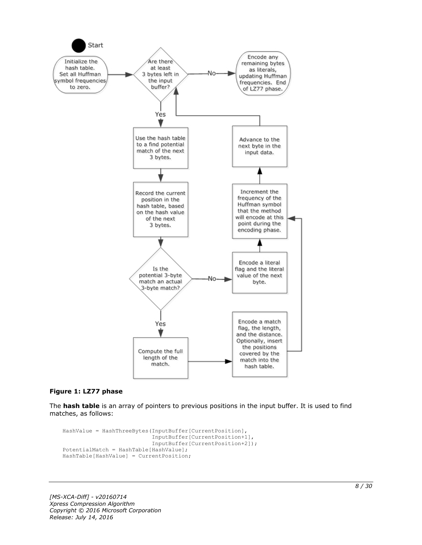

#### **Figure 1: LZ77 phase**

The **hash table** is an array of pointers to previous positions in the input buffer. It is used to find matches, as follows:

```
HashValue = HashThreeBytes(InputBuffer[CurrentPosition],
                            InputBuffer[CurrentPosition+1],
                           InputBuffer[CurrentPosition+2]);
PotentialMatch = HashTable[HashValue];
HashTable[HashValue] = CurrentPosition;
```
*[MS-XCA-Diff] - v20160714 Xpress Compression Algorithm Copyright © 2016 Microsoft Corporation Release: July 14, 2016*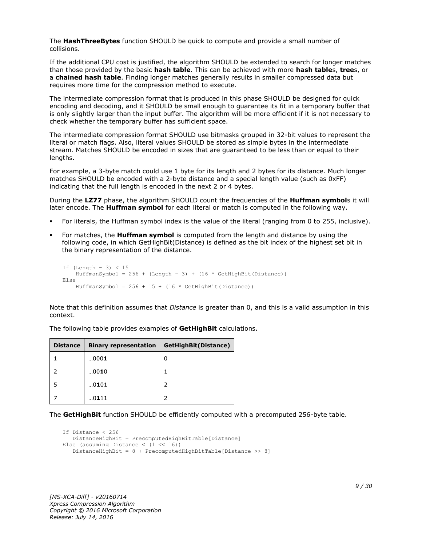The **HashThreeBytes** function SHOULD be quick to compute and provide a small number of collisions.

If the additional CPU cost is justified, the algorithm SHOULD be extended to search for longer matches than those provided by the basic **hash table**. This can be achieved with more **hash table**s, **tree**s, or a **chained hash table**. Finding longer matches generally results in smaller compressed data but requires more time for the compression method to execute.

The intermediate compression format that is produced in this phase SHOULD be designed for quick encoding and decoding, and it SHOULD be small enough to guarantee its fit in a temporary buffer that is only slightly larger than the input buffer. The algorithm will be more efficient if it is not necessary to check whether the temporary buffer has sufficient space.

The intermediate compression format SHOULD use bitmasks grouped in 32-bit values to represent the literal or match flags. Also, literal values SHOULD be stored as simple bytes in the intermediate stream. Matches SHOULD be encoded in sizes that are guaranteed to be less than or equal to their lengths.

For example, a 3-byte match could use 1 byte for its length and 2 bytes for its distance. Much longer matches SHOULD be encoded with a 2-byte distance and a special length value (such as 0xFF) indicating that the full length is encoded in the next 2 or 4 bytes.

During the **LZ77** phase, the algorithm SHOULD count the frequencies of the **Huffman symbol**s it will later encode. The **Huffman symbol** for each literal or match is computed in the following way.

- For literals, the Huffman symbol index is the value of the literal (ranging from 0 to 255, inclusive).
- For matches, the **Huffman symbol** is computed from the length and distance by using the following code, in which GetHighBit(Distance) is defined as the bit index of the highest set bit in the binary representation of the distance.

```
If (Lenqth - 3) < 15HuffmanSymbol = 256 + (Length - 3) + (16 * GetHighBit(Distance))Else
    HuffmanSymbol = 256 + 15 + (16 * \text{GetHighBit}(\text{Distance}))
```
Note that this definition assumes that *Distance* is greater than 0, and this is a valid assumption in this context.

| <b>Distance</b> | <b>Binary representation</b> | GetHighBit(Distance) |
|-----------------|------------------------------|----------------------|
|                 | 0001                         | 0                    |
|                 | 0010                         |                      |
| 5               | 0101                         |                      |
|                 | 0111                         |                      |

The following table provides examples of **GetHighBit** calculations.

The **GetHighBit** function SHOULD be efficiently computed with a precomputed 256-byte table.

```
If Distance < 256
    DistanceHighBit = PrecomputedHighBitTable[Distance]
Else (assuming Distance \langle (1 \langle 16))
    DistanceHighBit = 8 + PrecomputedHighBitTable[Distance >> 8]
```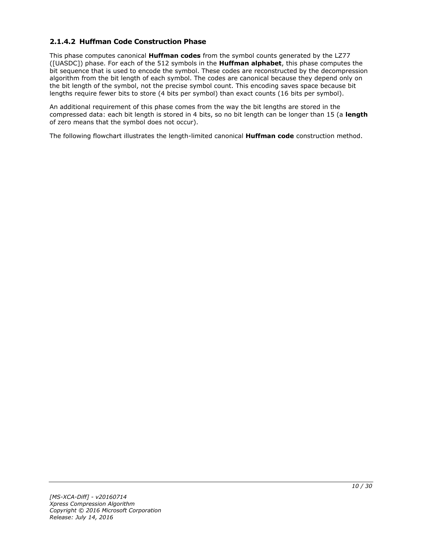# <span id="page-9-0"></span>**2.1.4.2 Huffman Code Construction Phase**

This phase computes canonical **Huffman codes** from the symbol counts generated by the LZ77 ([UASDC]) phase. For each of the 512 symbols in the **Huffman alphabet**, this phase computes the bit sequence that is used to encode the symbol. These codes are reconstructed by the decompression algorithm from the bit length of each symbol. The codes are canonical because they depend only on the bit length of the symbol, not the precise symbol count. This encoding saves space because bit lengths require fewer bits to store (4 bits per symbol) than exact counts (16 bits per symbol).

An additional requirement of this phase comes from the way the bit lengths are stored in the compressed data: each bit length is stored in 4 bits, so no bit length can be longer than 15 (a **length** of zero means that the symbol does not occur).

The following flowchart illustrates the length-limited canonical **Huffman code** construction method.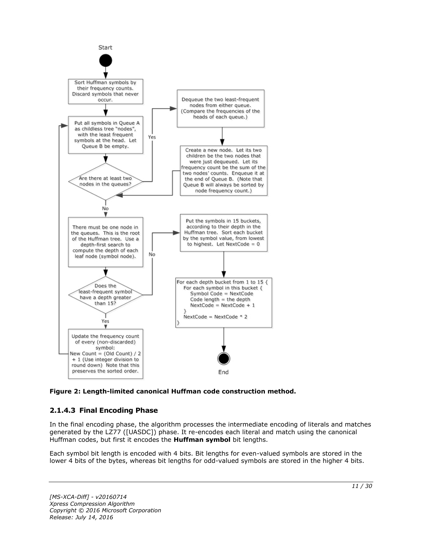

**Figure 2: Length-limited canonical Huffman code construction method.**

# <span id="page-10-0"></span>**2.1.4.3 Final Encoding Phase**

In the final encoding phase, the algorithm processes the intermediate encoding of literals and matches generated by the LZ77 ([UASDC]) phase. It re-encodes each literal and match using the canonical Huffman codes, but first it encodes the **Huffman symbol** bit lengths.

Each symbol bit length is encoded with 4 bits. Bit lengths for even-valued symbols are stored in the lower 4 bits of the bytes, whereas bit lengths for odd-valued symbols are stored in the higher 4 bits.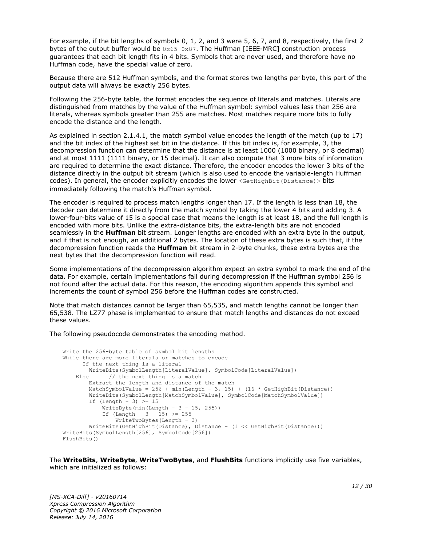For example, if the bit lengths of symbols 0, 1, 2, and 3 were 5, 6, 7, and 8, respectively, the first 2 bytes of the output buffer would be  $0 \times 65$  0x87. The Huffman [IEEE-MRC] construction process guarantees that each bit length fits in 4 bits. Symbols that are never used, and therefore have no Huffman code, have the special value of zero.

Because there are 512 Huffman symbols, and the format stores two lengths per byte, this part of the output data will always be exactly 256 bytes.

Following the 256-byte table, the format encodes the sequence of literals and matches. Literals are distinguished from matches by the value of the Huffman symbol: symbol values less than 256 are literals, whereas symbols greater than 255 are matches. Most matches require more bits to fully encode the distance and the length.

As explained in section 2.1.4.1, the match symbol value encodes the length of the match (up to 17) and the bit index of the highest set bit in the distance. If this bit index is, for example, 3, the decompression function can determine that the distance is at least 1000 (1000 binary, or 8 decimal) and at most 1111 (1111 binary, or 15 decimal). It can also compute that 3 more bits of information are required to determine the exact distance. Therefore, the encoder encodes the lower 3 bits of the distance directly in the output bit stream (which is also used to encode the variable-length Huffman codes). In general, the encoder explicitly encodes the lower <GetHighBit(Distance) > bits immediately following the match's Huffman symbol.

The encoder is required to process match lengths longer than 17. If the length is less than 18, the decoder can determine it directly from the match symbol by taking the lower 4 bits and adding 3. A lower-four-bits value of 15 is a special case that means the length is at least 18, and the full length is encoded with more bits. Unlike the extra-distance bits, the extra-length bits are not encoded seamlessly in the **Huffman** bit stream. Longer lengths are encoded with an extra byte in the output, and if that is not enough, an additional 2 bytes. The location of these extra bytes is such that, if the decompression function reads the **Huffman** bit stream in 2-byte chunks, these extra bytes are the next bytes that the decompression function will read.

Some implementations of the decompression algorithm expect an extra symbol to mark the end of the data. For example, certain implementations fail during decompression if the Huffman symbol 256 is not found after the actual data. For this reason, the encoding algorithm appends this symbol and increments the count of symbol 256 before the Huffman codes are constructed.

Note that match distances cannot be larger than 65,535, and match lengths cannot be longer than 65,538. The LZ77 phase is implemented to ensure that match lengths and distances do not exceed these values.

The following pseudocode demonstrates the encoding method.

```
Write the 256-byte table of symbol bit lengths
While there are more literals or matches to encode
       If the next thing is a literal
         WriteBits(SymbolLength[LiteralValue], SymbolCode[LiteralValue])
    Else // the next thing is a match
         Extract the length and distance of the match
        MatchSymbolValue = 256 + min(Length - 3, 15) + (16 * GetHighBit(Distance))
         WriteBits(SymbolLength[MatchSymbolValue], SymbolCode[MatchSymbolValue])
        If (Length - 3) \geq 15
            WriteByte(min(Length - 3 - 15, 255))
            If (Length - 3 - 15) >= 255
                WriteTwoBytes(Length – 3)
         WriteBits(GetHighBit(Distance), Distance – (1 << GetHighBit(Distance)))
WriteBits(SymbolLength[256], SymbolCode[256])
FlushBits()
```
The **WriteBits**, **WriteByte**, **WriteTwoBytes**, and **FlushBits** functions implicitly use five variables, which are initialized as follows: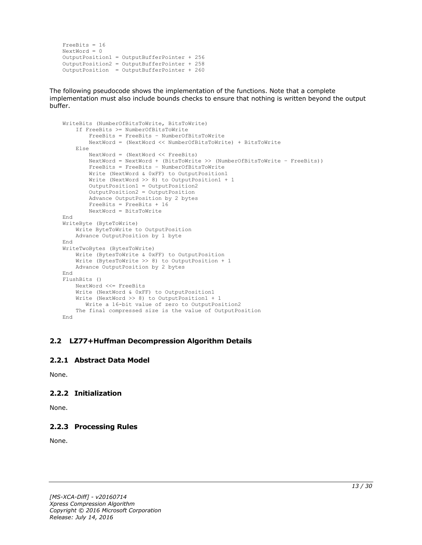```
FreeBits = 16
NextWord = 0OutputPosition1 = OutputBufferPointer + 256
OutputPosition2 = OutputBufferPointer + 258 
OutputPosition = OutputBufferPointer + 260
```
The following pseudocode shows the implementation of the functions. Note that a complete implementation must also include bounds checks to ensure that nothing is written beyond the output buffer.

```
WriteBits (NumberOfBitsToWrite, BitsToWrite)
     If FreeBits >= NumberOfBitsToWrite
         FreeBits = FreeBits – NumberOfBitsToWrite
         NextWord = (NextWord << NumberOfBitsToWrite) + BitsToWrite
     Else
         NextWord = (NextWord << FreeBits)
         NextWord = NextWord + (BitsToWrite >> (NumberOfBitsToWrite – FreeBits))
         FreeBits = FreeBits – NumberOfBitsToWrite
         Write (NextWord & 0xFF) to OutputPosition1
         Write (NextWord >> 8) to OutputPosition1 + 1
         OutputPosition1 = OutputPosition2
         OutputPosition2 = OutputPosition
         Advance OutputPosition by 2 bytes
         FreeBits = FreeBits + 16
         NextWord = BitsToWrite
End
WriteByte (ByteToWrite)
    Write ByteToWrite to OutputPosition
     Advance OutputPosition by 1 byte
End
WriteTwoBytes (BytesToWrite)
     Write (BytesToWrite & 0xFF) to OutputPosition
     Write (BytesToWrite >> 8) to OutputPosition + 1
    Advance OutputPosition by 2 bytes
End
FlushBits ()
     NextWord <<= FreeBits
     Write (NextWord & 0xFF) to OutputPosition1
     Write (NextWord >> 8) to OutputPosition1 + 1
       Write a 16-bit value of zero to OutputPosition2
     The final compressed size is the value of OutputPosition
End
```
#### <span id="page-12-0"></span>**2.2 LZ77+Huffman Decompression Algorithm Details**

#### <span id="page-12-1"></span>**2.2.1 Abstract Data Model**

None.

### <span id="page-12-2"></span>**2.2.2 Initialization**

None.

### <span id="page-12-3"></span>**2.2.3 Processing Rules**

None.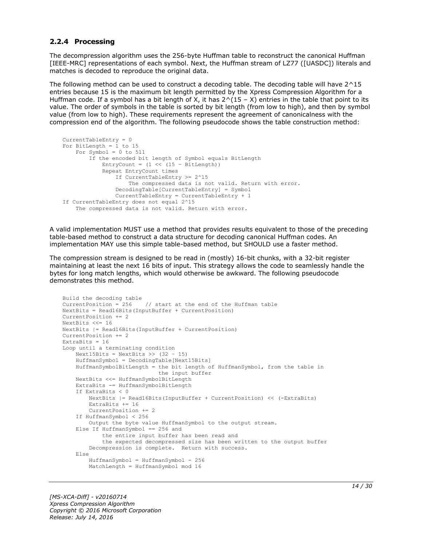#### <span id="page-13-0"></span>**2.2.4 Processing**

The decompression algorithm uses the 256-byte Huffman table to reconstruct the canonical Huffman [IEEE-MRC] representations of each symbol. Next, the Huffman stream of LZ77 ([UASDC]) literals and matches is decoded to reproduce the original data.

The following method can be used to construct a decoding table. The decoding table will have 2^15 entries because 15 is the maximum bit length permitted by the Xpress Compression Algorithm for a Huffman code. If a symbol has a bit length of X, it has  $2^(15 - X)$  entries in the table that point to its value. The order of symbols in the table is sorted by bit length (from low to high), and then by symbol value (from low to high). These requirements represent the agreement of canonicalness with the compression end of the algorithm. The following pseudocode shows the table construction method:

```
CurrentTableEntry = 0
For BitLength = 1 to 15
   For Symbol = 0 to 511
         If the encoded bit length of Symbol equals BitLength
            EntryCount = (1 \le \ (15 - \text{BitLength})) Repeat EntryCount times
                 If CurrentTableEntry >= 2^15
                     The compressed data is not valid. Return with error.
                 DecodingTable[CurrentTableEntry] = Symbol
                 CurrentTableEntry = CurrentTableEntry + 1
If CurrentTableEntry does not equal 2^15
     The compressed data is not valid. Return with error.
```
A valid implementation MUST use a method that provides results equivalent to those of the preceding table-based method to construct a data structure for decoding canonical Huffman codes. An implementation MAY use this simple table-based method, but SHOULD use a faster method.

The compression stream is designed to be read in (mostly) 16-bit chunks, with a 32-bit register maintaining at least the next 16 bits of input. This strategy allows the code to seamlessly handle the bytes for long match lengths, which would otherwise be awkward. The following pseudocode demonstrates this method.

```
Build the decoding table
CurrentPosition = 256 // start at the end of the Huffman table
NextBits = Read16Bits(InputBuffer + CurrentPosition)
CurrentPosition += 2
NextBits <<= 16
NextBits |= Read16Bits(InputBuffer + CurrentPosition)
CurrentPosition += 2
ExtraBits = 16
Loop until a terminating condition
    Next15Bits = NextBits \gg (32 - 15)
     HuffmanSymbol = DecodingTable[Next15Bits]
     HuffmanSymbolBitLength = the bit length of HuffmanSymbol, from the table in
                              the input buffer
     NextBits <<= HuffmanSymbolBitLength
     ExtraBits -= HuffmanSymbolBitLength
     If ExtraBits < 0
        NextBits |= Read16Bits(InputBuffer + CurrentPosition) << (-ExtraBits)
         ExtraBits += 16
         CurrentPosition += 2
     If HuffmanSymbol < 256
        Output the byte value HuffmanSymbol to the output stream.
     Else If HuffmanSymbol == 256 and
             the entire input buffer has been read and
             the expected decompressed size has been written to the output buffer
         Decompression is complete. Return with success.
     Else
        HuffmanSumbol = HuffmanSumbol - 256 MatchLength = HuffmanSymbol mod 16
```
*[MS-XCA-Diff] - v20160714 Xpress Compression Algorithm Copyright © 2016 Microsoft Corporation Release: July 14, 2016*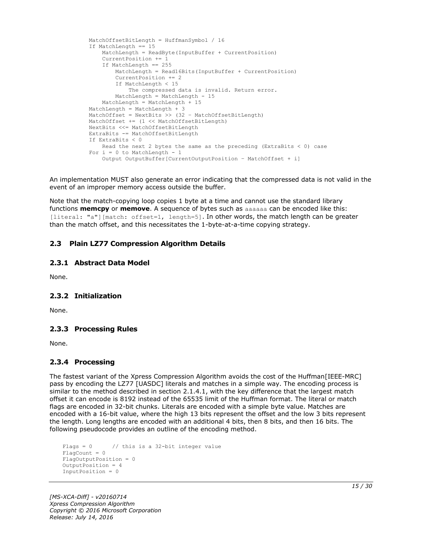```
 MatchOffsetBitLength = HuffmanSymbol / 16
If MatchLength == 15 MatchLength = ReadByte(InputBuffer + CurrentPosition)
     CurrentPosition += 1
     If MatchLength == 255
        MatchLength = Read16Bits(InputBuffer + CurrentPosition)
        CurrentPosition += 2
         If MatchLength < 15
             The compressed data is invalid. Return error.
         MatchLength = MatchLength - 15
     MatchLength = MatchLength + 15
 MatchLength = MatchLength + 3
MatchOffset = NextBits >> (32 - \text{MatchOffsetBitLength}) MatchOffset += (1 << MatchOffsetBitLength)
 NextBits <<= MatchOffsetBitLength
 ExtraBits -= MatchOffsetBitLength
 If ExtraBits < 0
    Read the next 2 bytes the same as the preceding (ExtraBits < 0) case
For i = 0 to MatchLength - 1
     Output OutputBuffer[CurrentOutputPosition – MatchOffset + i]
```
An implementation MUST also generate an error indicating that the compressed data is not valid in the event of an improper memory access outside the buffer.

Note that the match-copying loop copies 1 byte at a time and cannot use the standard library functions **memcpy** or **memove**. A sequence of bytes such as aaaaaa can be encoded like this: [literal: "a"][match: offset=1, length=5]. In other words, the match length can be greater than the match offset, and this necessitates the 1-byte-at-a-time copying strategy.

### <span id="page-14-0"></span>**2.3 Plain LZ77 Compression Algorithm Details**

#### <span id="page-14-1"></span>**2.3.1 Abstract Data Model**

None.

#### <span id="page-14-2"></span>**2.3.2 Initialization**

None.

#### <span id="page-14-3"></span>**2.3.3 Processing Rules**

None.

#### <span id="page-14-4"></span>**2.3.4 Processing**

The fastest variant of the Xpress Compression Algorithm avoids the cost of the Huffman[IEEE-MRC] pass by encoding the LZ77 [UASDC] literals and matches in a simple way. The encoding process is similar to the method described in section 2.1.4.1, with the key difference that the largest match offset it can encode is 8192 instead of the 65535 limit of the Huffman format. The literal or match flags are encoded in 32-bit chunks. Literals are encoded with a simple byte value. Matches are encoded with a 16-bit value, where the high 13 bits represent the offset and the low 3 bits represent the length. Long lengths are encoded with an additional 4 bits, then 8 bits, and then 16 bits. The following pseudocode provides an outline of the encoding method.

```
Flags = 0 // this is a 32-bit integer value
FlagCount = 0
FlagOutputPosition = 0
OutputPosition = 4
InputPosition = 0
```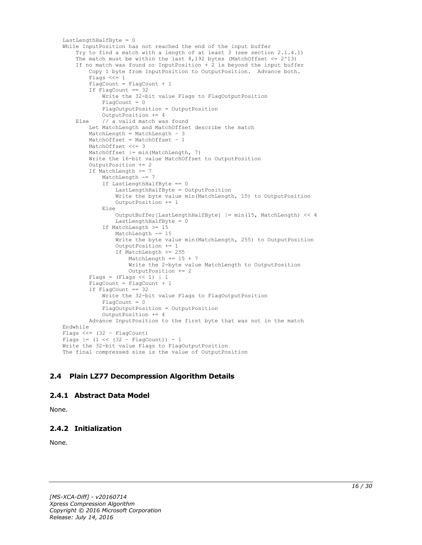```
LastLengthHalfByte = 0
While InputPosition has not reached the end of the input buffer
     Try to find a match with a length of at least 3 (see section 2.1.4.1)
    The match must be within the last 8,192 bytes (MatchOffset \leq 2^13)
     If no match was found or InputPosition + 2 is beyond the input buffer
         Copy 1 byte from InputPosition to OutputPosition. Advance both.
         Flags <<= 1
        FlagCount = FlagCount + 1 If FlagCount == 32
             Write the 32-bit value Flags to FlagOutputPosition
            Fla<sub>q</sub>Count = 0 FlagOutputPosition = OutputPosition
             OutputPosition += 4
     Else // a valid match was found
         Let MatchLength and MatchOffset describe the match
         MatchLength = MatchLength – 3
         MatchOffset = MatchOffset – 1
         MatchOffset <<= 3
        MatchOffset | = min(MatchLength, 7) Write the 16-bit value MatchOffset to OutputPosition
         OutputPosition += 2
         If MatchLength >= 7
             MatchLength -= 7
             If LastLengthHalfByte == 0
                 LastLengthHalfByte = OutputPosition
                Write the byte value min(MatchLength, 15) to OutputPosition
                 OutputPosition += 1
             Else
                 OutputBuffer[LastLengthHalfByte] |= min(15, MatchLength) << 4
                LastLengthHalfByte = 0
             If MatchLength >= 15
                 MatchLength -= 15
                 Write the byte value min(MatchLength, 255) to OutputPosition
                OutputPosition += 1
                 If MatchLength >= 255
                     MatchLength += 15 + 7
                     Write the 2-byte value MatchLength to OutputPosition
                     OutputPosition += 2
        Flags = (Flags \ll 1) | 1
        FlagCount = FlagCount + 1
         If FlagCount == 32
             Write the 32-bit value Flags to FlagOutputPosition
             FlagCount = 0
             FlagOutputPosition = OutputPosition
             OutputPosition += 4
         Advance InputPosition to the first byte that was not in the match
Endwhile
Flags <<= (32 – FlagCount)
Flags |= (1 \lt\lt (32 - \text{FlagCount})) - 1Write the 32-bit value Flags to FlagOutputPosition
The final compressed size is the value of OutputPosition
```
# <span id="page-15-0"></span>**2.4 Plain LZ77 Decompression Algorithm Details**

#### <span id="page-15-1"></span>**2.4.1 Abstract Data Model**

None.

### <span id="page-15-2"></span>**2.4.2 Initialization**

None.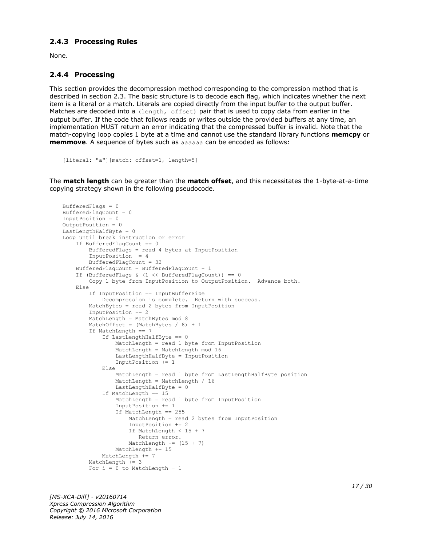#### <span id="page-16-0"></span>**2.4.3 Processing Rules**

None.

#### <span id="page-16-1"></span>**2.4.4 Processing**

This section provides the decompression method corresponding to the compression method that is described in section 2.3. The basic structure is to decode each flag, which indicates whether the next item is a literal or a match. Literals are copied directly from the input buffer to the output buffer. Matches are decoded into a (length, offset) pair that is used to copy data from earlier in the output buffer. If the code that follows reads or writes outside the provided buffers at any time, an implementation MUST return an error indicating that the compressed buffer is invalid. Note that the match-copying loop copies 1 byte at a time and cannot use the standard library functions **memcpy** or **memmove**. A sequence of bytes such as aaaaaa can be encoded as follows:

```
[literal: "a"][match: offset=1, length=5]
```
The **match length** can be greater than the **match offset**, and this necessitates the 1-byte-at-a-time copying strategy shown in the following pseudocode.

```
BufferedFlags = 0
BufferedFlagCount = 0
InputPosition = 0
OutputPosition = 0
LastLengthHalfByte = 0Loop until break instruction or error
     If BufferedFlagCount == 0
         BufferedFlags = read 4 bytes at InputPosition
         InputPosition += 4
         BufferedFlagCount = 32
     BufferedFlagCount = BufferedFlagCount – 1
    If (BufferedFlags & (1 \leq \text{BufferedFlagCount})) == 0
         Copy 1 byte from InputPosition to OutputPosition. Advance both.
     Else
         If InputPosition == InputBufferSize
             Decompression is complete. Return with success.
         MatchBytes = read 2 bytes from InputPosition
         InputPosition += 2
        MatchLength = MatchBytes mod 8
        MatchOffset = (MatchBytes / 8) + 1 If MatchLength == 7
             If LastLengthHalfByte == 0
                 MatchLength = read 1 byte from InputPosition
                 MatchLength = MatchLength mod 16
                LastLengthHalfByte = InputPosition
                 InputPosition += 1
             Else
                 MatchLength = read 1 byte from LastLengthHalfByte position
                 MatchLength = MatchLength / 16
                LastLengthHalfByte = 0
             If MatchLength == 15
                 MatchLength = read 1 byte from InputPosition
                 InputPosition += 1
                If MatchLength == 255
                     MatchLength = read 2 bytes from InputPosition
                    InputPosition += 2
                    If MatchLength < 15 + 7
                       Return error.
                    MatchLength == (15 + 7)
                MathLength += 15 MatchLength += 7
        MatchLength += 3
        For i = 0 to MatchLength - 1
```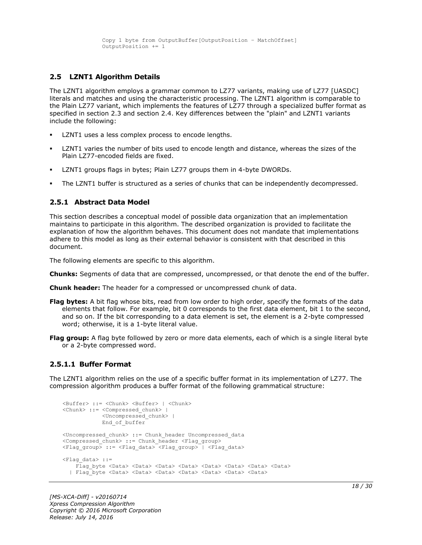#### <span id="page-17-0"></span>**2.5 LZNT1 Algorithm Details**

The LZNT1 algorithm employs a grammar common to LZ77 variants, making use of LZ77 [UASDC] literals and matches and using the characteristic processing. The LZNT1 algorithm is comparable to the Plain LZ77 variant, which implements the features of LZ77 through a specialized buffer format as specified in section 2.3 and section 2.4. Key differences between the "plain" and LZNT1 variants include the following:

- LZNT1 uses a less complex process to encode lengths.
- LZNT1 varies the number of bits used to encode length and distance, whereas the sizes of the Plain LZ77-encoded fields are fixed.
- LZNT1 groups flags in bytes; Plain LZ77 groups them in 4-byte DWORDs.
- The LZNT1 buffer is structured as a series of chunks that can be independently decompressed.

#### <span id="page-17-1"></span>**2.5.1 Abstract Data Model**

This section describes a conceptual model of possible data organization that an implementation maintains to participate in this algorithm. The described organization is provided to facilitate the explanation of how the algorithm behaves. This document does not mandate that implementations adhere to this model as long as their external behavior is consistent with that described in this document.

The following elements are specific to this algorithm.

**Chunks:** Segments of data that are compressed, uncompressed, or that denote the end of the buffer.

**Chunk header:** The header for a compressed or uncompressed chunk of data.

- **Flag bytes:** A bit flag whose bits, read from low order to high order, specify the formats of the data elements that follow. For example, bit 0 corresponds to the first data element, bit 1 to the second, and so on. If the bit corresponding to a data element is set, the element is a 2-byte compressed word; otherwise, it is a 1-byte literal value.
- **Flag group:** A flag byte followed by zero or more data elements, each of which is a single literal byte or a 2-byte compressed word.

#### <span id="page-17-2"></span>**2.5.1.1 Buffer Format**

The LZNT1 algorithm relies on the use of a specific buffer format in its implementation of LZ77. The compression algorithm produces a buffer format of the following grammatical structure:

```
<Buffer> ::= <Chunk> <Buffer> | <Chunk>
<Chunk> ::= <Compressed_chunk> | 
             <Uncompressed_chunk> |
            End of buffer
<Uncompressed_chunk> ::= Chunk_header Uncompressed_data
<Compressed_chunk> ::= Chunk_header <Flag_group>
<Flag_group> ::= <Flag_data> <Flag_group> | <Flag_data>
<Flag data> ::=
    Flag byte <Data> <Data> <Data> <Data> <Data> <Data> <Data> <Data> <Data> <Data> <Data> <Data> <Data
   | Flag_byte <Data> <Data> <Data> <Data> <Data> <Data> <Data>
```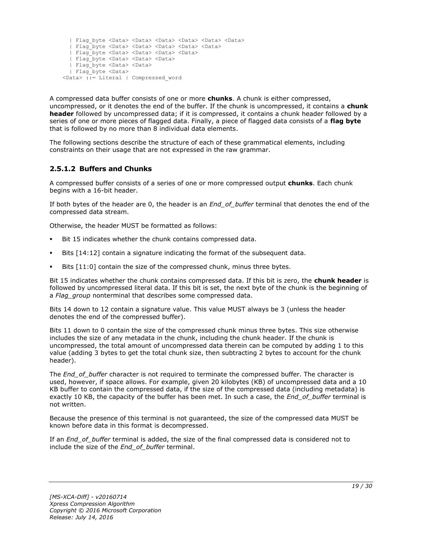```
 | Flag_byte <Data> <Data> <Data> <Data> <Data> <Data>
  | Flag_byte <Data> <Data> <Data> <Data> <Data>
  | Flag_byte <Data> <Data> <Data> <Data>
  | Flag_byte <Data> <Data> <Data> 
  | Flag_byte <Data> <Data>
  | Flag_byte <Data> 
<Data> ::= Literal | Compressed_word
```
A compressed data buffer consists of one or more **chunks**. A chunk is either compressed, uncompressed, or it denotes the end of the buffer. If the chunk is uncompressed, it contains a **chunk header** followed by uncompressed data; if it is compressed, it contains a chunk header followed by a series of one or more pieces of flagged data. Finally, a piece of flagged data consists of a **flag byte** that is followed by no more than 8 individual data elements.

The following sections describe the structure of each of these grammatical elements, including constraints on their usage that are not expressed in the raw grammar.

### <span id="page-18-0"></span>**2.5.1.2 Buffers and Chunks**

A compressed buffer consists of a series of one or more compressed output **chunks**. Each chunk begins with a 16-bit header.

If both bytes of the header are 0, the header is an *End\_of\_buffer* terminal that denotes the end of the compressed data stream.

Otherwise, the header MUST be formatted as follows:

- Bit 15 indicates whether the chunk contains compressed data.
- Bits [14:12] contain a signature indicating the format of the subsequent data.
- Bits [11:0] contain the size of the compressed chunk, minus three bytes.

Bit 15 indicates whether the chunk contains compressed data. If this bit is zero, the **chunk header** is followed by uncompressed literal data. If this bit is set, the next byte of the chunk is the beginning of a *Flag\_group* nonterminal that describes some compressed data.

Bits 14 down to 12 contain a signature value. This value MUST always be 3 (unless the header denotes the end of the compressed buffer).

Bits 11 down to 0 contain the size of the compressed chunk minus three bytes. This size otherwise includes the size of any metadata in the chunk, including the chunk header. If the chunk is uncompressed, the total amount of uncompressed data therein can be computed by adding 1 to this value (adding 3 bytes to get the total chunk size, then subtracting 2 bytes to account for the chunk header).

The *End\_of\_buffer* character is not required to terminate the compressed buffer. The character is used, however, if space allows. For example, given 20 kilobytes (KB) of uncompressed data and a 10 KB buffer to contain the compressed data, if the size of the compressed data (including metadata) is exactly 10 KB, the capacity of the buffer has been met. In such a case, the *End\_of\_buffer* terminal is not written.

Because the presence of this terminal is not guaranteed, the size of the compressed data MUST be known before data in this format is decompressed.

If an *End\_of\_buffer* terminal is added, the size of the final compressed data is considered not to include the size of the *End\_of\_buffer* terminal.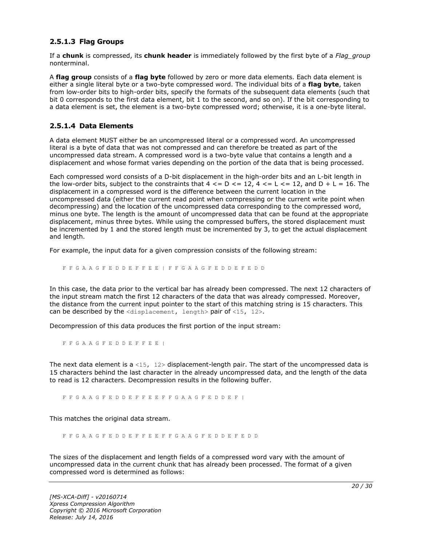#### <span id="page-19-0"></span>**2.5.1.3 Flag Groups**

If a **chunk** is compressed, its **chunk header** is immediately followed by the first byte of a *Flag\_group* nonterminal.

A **flag group** consists of a **flag byte** followed by zero or more data elements. Each data element is either a single literal byte or a two-byte compressed word. The individual bits of a **flag byte**, taken from low-order bits to high-order bits, specify the formats of the subsequent data elements (such that bit 0 corresponds to the first data element, bit 1 to the second, and so on). If the bit corresponding to a data element is set, the element is a two-byte compressed word; otherwise, it is a one-byte literal.

#### <span id="page-19-1"></span>**2.5.1.4 Data Elements**

A data element MUST either be an uncompressed literal or a compressed word. An uncompressed literal is a byte of data that was not compressed and can therefore be treated as part of the uncompressed data stream. A compressed word is a two-byte value that contains a length and a displacement and whose format varies depending on the portion of the data that is being processed.

Each compressed word consists of a D-bit displacement in the high-order bits and an L-bit length in the low-order bits, subject to the constraints that  $4 \leq D \leq 12$ ,  $4 \leq L \leq 12$ , and  $D + L = 16$ . The displacement in a compressed word is the difference between the current location in the uncompressed data (either the current read point when compressing or the current write point when decompressing) and the location of the uncompressed data corresponding to the compressed word, minus one byte. The length is the amount of uncompressed data that can be found at the appropriate displacement, minus three bytes. While using the compressed buffers, the stored displacement must be incremented by 1 and the stored length must be incremented by 3, to get the actual displacement and length.

For example, the input data for a given compression consists of the following stream:

F F G A A G F E D D E F F E E | F F G A A G F E D D E F E D D

In this case, the data prior to the vertical bar has already been compressed. The next 12 characters of the input stream match the first 12 characters of the data that was already compressed. Moreover, the distance from the current input pointer to the start of this matching string is 15 characters. This can be described by the  $\langle$ displacement, length> pair of  $\langle$ 15, 12>.

Decompression of this data produces the first portion of the input stream:

F F G A A G F E D D E F F E E |

The next data element is a <15,  $12$  bisplacement-length pair. The start of the uncompressed data is 15 characters behind the last character in the already uncompressed data, and the length of the data to read is 12 characters. Decompression results in the following buffer.

F F G A A G F E D D E F F E E F F G A A G F E D D E F |

This matches the original data stream.

F F G A A G F E D D E F F E E F F G A A G F E D D E F E D D

The sizes of the displacement and length fields of a compressed word vary with the amount of uncompressed data in the current chunk that has already been processed. The format of a given compressed word is determined as follows: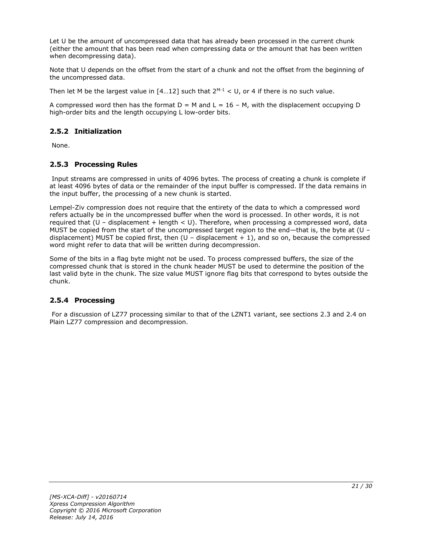Let U be the amount of uncompressed data that has already been processed in the current chunk (either the amount that has been read when compressing data or the amount that has been written when decompressing data).

Note that U depends on the offset from the start of a chunk and not the offset from the beginning of the uncompressed data.

Then let M be the largest value in  $[4...12]$  such that  $2^{M-1} < U$ , or 4 if there is no such value.

A compressed word then has the format  $D = M$  and  $L = 16 - M$ , with the displacement occupying D high-order bits and the length occupying L low-order bits.

### <span id="page-20-0"></span>**2.5.2 Initialization**

None.

### <span id="page-20-1"></span>**2.5.3 Processing Rules**

Input streams are compressed in units of 4096 bytes. The process of creating a chunk is complete if at least 4096 bytes of data or the remainder of the input buffer is compressed. If the data remains in the input buffer, the processing of a new chunk is started.

Lempel-Ziv compression does not require that the entirety of the data to which a compressed word refers actually be in the uncompressed buffer when the word is processed. In other words, it is not required that  $(U -$  displacement + length < U). Therefore, when processing a compressed word, data MUST be copied from the start of the uncompressed target region to the end—that is, the byte at (U – displacement) MUST be copied first, then  $(U -$  displacement  $+ 1)$ , and so on, because the compressed word might refer to data that will be written during decompression.

Some of the bits in a flag byte might not be used. To process compressed buffers, the size of the compressed chunk that is stored in the chunk header MUST be used to determine the position of the last valid byte in the chunk. The size value MUST ignore flag bits that correspond to bytes outside the chunk.

### <span id="page-20-2"></span>**2.5.4 Processing**

For a discussion of LZ77 processing similar to that of the LZNT1 variant, see sections 2.3 and 2.4 on Plain LZ77 compression and decompression.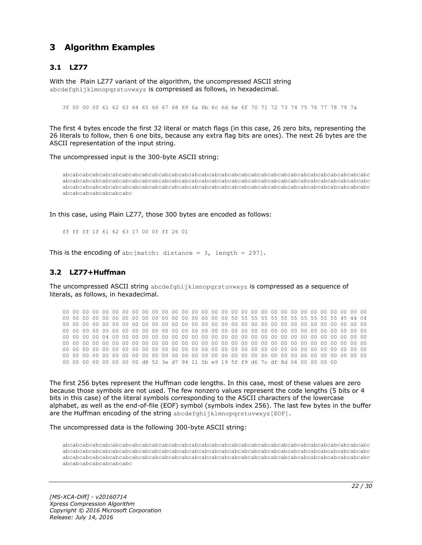# <span id="page-21-0"></span>**3 Algorithm Examples**

### <span id="page-21-1"></span>**3.1 LZ77**

With the Plain LZ77 variant of the algorithm, the uncompressed ASCII string abcdefghijklmnopgrstuvwxyz is compressed as follows, in hexadecimal.

3f 00 00 00 61 62 63 64 65 66 67 68 69 6a 6b 6c 6d 6e 6f 70 71 72 73 74 75 76 77 78 79 7a

The first 4 bytes encode the first 32 literal or match flags (in this case, 26 zero bits, representing the 26 literals to follow, then 6 one bits, because any extra flag bits are ones). The next 26 bytes are the ASCII representation of the input string.

The uncompressed input is the 300-byte ASCII string:

abcabcabcabcabcabcabcabcabcabcabcabcabcabcabcabcabcabcabcabcabcabcabcabcabcabcabcabcabcabcabc abcabcabcabcabcabcabcabcabcabcabcabcabcabcabcabcabcabcabcabcabcabcabcabcabcabcabcabcabcabcabc abcabcabcabcabcabcabcabcabcabcabcabcabcabcabcabcabcabcabcabcabcabcabcabcabcabcabcabcabcabcabc abcabcabcabcabcabcabc

In this case, using Plain LZ77, those 300 bytes are encoded as follows:

ff ff ff 1f 61 62 63 17 00 0f ff 26 01

This is the encoding of abc [match: distance =  $3$ , length = 297].

#### <span id="page-21-2"></span>**3.2 LZ77+Huffman**

The uncompressed ASCII string abcdefghijklmnopqrstuvwxyz is compressed as a sequence of literals, as follows, in hexadecimal.

00 00 00 00 00 00 00 00 00 00 00 00 00 00 00 00 00 00 00 00 00 00 00 00 00 00 00 00 00 00 00 00 00 00 00 00 00 00 00 00 00 00 00 00 00 00 00 00 50 55 55 55 55 55 55 55 55 55 55 45 44 04 00 00 00 00 00 00 00 00 00 00 00 00 00 00 00 00 00 00 00 00 00 00 00 00 00 00 00 00 00 00 00 00 00 00 00 00 00 00 00 00 00 00 00 00 00 00 00 00 00 00 00 00 00 00 00 00 00 00 00 00 00 00 00 00 00 00 04 00 00 00 00 00 00 00 00 00 00 00 00 00 00 00 00 00 00 00 00 00 00 00 00 00 00 00 00 00 00 00 00 00 00 00 00 00 00 00 00 00 00 00 00 00 00 00 00 00 00 00 00 00 00 00 00 00 00 00 00 00 00 00 00 00 00 00 00 00 00 00 00 00 00 00 00 00 00 00 00 00 00 00 00 00 00 00 00 00 00 00 00 00 00 00 00 00 00 00 00 00 00 00 00 00 00 00 00 00 00 00 00 00 00 00 00 00 00 00 00 00 00 00 00 00 00 00 d8 52 3e d7 94 11 5b e9 19 5f f9 d6 7c df 8d 04 00 00 00 00

The first 256 bytes represent the Huffman code lengths. In this case, most of these values are zero because those symbols are not used. The few nonzero values represent the code lengths (5 bits or 4 bits in this case) of the literal symbols corresponding to the ASCII characters of the lowercase alphabet, as well as the end-of-file (EOF) symbol (symbols index 256). The last few bytes in the buffer are the Huffman encoding of the string abcdefghijklmnopgrstuvwxyz[EOF].

The uncompressed data is the following 300-byte ASCII string:

abcabcabcabcabcabcabcabcabcabcabcabcabcabcabcabcabcabcabcabcabcabcabcabcabcabcabcabcabcabcabc abcabcabcabcabcabcabcabcabcabcabcabcabcabcabcabcabcabcabcabcabcabcabcabcabcabcabcabcabcabcabc abcabcabcabcabcabcabcabcabcabcabcabcabcabcabcabcabcabcabcabcabcabcabcabcabcabcabcabcabcabcabc abcabcabcabcabcabcabc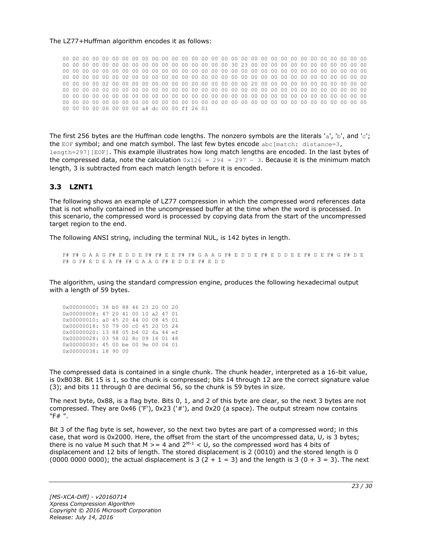#### The LZ77+Huffman algorithm encodes it as follows:

00 00 00 00 00 00 00 00 00 00 00 00 00 00 00 00 00 00 00 00 00 00 00 00 00 00 00 00 00 00 00 00 00 00 00 00 00 00 00 00 00 00 00 00 00 00 00 00 30 23 00 00 00 00 00 00 00 00 00 00 00 00 00 00 00 00 00 00 00 00 00 00 00 00 00 00 00 00 00 00 00 00 00 00 00 00 00 00 00 00 00 00 00 00 00 00 00 00 00 00 00 00 00 00 00 00 00 00 00 00 00 00 00 00 00 00 00 00 00 00 00 00 00 00 00 00 00 00 02 00 00 00 00 00 00 00 00 00 00 00 00 00 00 20 00 00 00 00 00 00 00 00 00 00 00 00 00 00 00 00 00 00 00 00 00 00 00 00 00 00 00 00 00 00 00 00 00 00 00 00 00 00 00 00 00 00 00 00 00 00 00 00 00 00 00 00 00 00 00 00 00 00 00 00 00 00 00 00 00 00 00 00 00 00 00 00 00 00 00 00 00 00 00 00 00 00 00 00 00 00 00 00 00 00 00 00 00 00 00 00 00 00 00 00 00 00 00 00 00 00 00 00 00 00 00 00 a8 dc 00 00 ff 26 01

The first 256 bytes are the Huffman code lengths. The nonzero symbols are the literals 'a', 'b', and 'c'; the EOF symbol; and one match symbol. The last few bytes encode abc[match: distance=3, length=297][EOF]. This example illustrates how long match lengths are encoded. In the last bytes of the compressed data, note the calculation  $0x126 = 294 = 297 - 3$ . Because it is the minimum match length, 3 is subtracted from each match length before it is encoded.

#### <span id="page-22-0"></span>**3.3 LZNT1**

The following shows an example of LZ77 compression in which the compressed word references data that is not wholly contained in the uncompressed buffer at the time when the word is processed. In this scenario, the compressed word is processed by copying data from the start of the uncompressed target region to the end.

The following ANSI string, including the terminal NUL, is 142 bytes in length.

F# F# G A A G F# E D D E F# F# E E F# F# G A A G F# E D D E F# E D D E E F# D E F# G F# D E F# G F# E D E A F# F# G A A G F# E D D E F# E D D

The algorithm, using the standard compression engine, produces the following hexadecimal output with a length of 59 bytes.

| 0x00000000: 38 b0 88 46 23 20 00 20 |  |  |  |  |
|-------------------------------------|--|--|--|--|
| 0x00000008: 47 20 41 00 10 a2 47 01 |  |  |  |  |
| 0x00000010: a0 45 20 44 00 08 45 01 |  |  |  |  |
| 0x00000018: 50 79 00 c0 45 20 05 24 |  |  |  |  |
| 0x00000020: 13 88 05 b4 02 4a 44 ef |  |  |  |  |
| 0x00000028: 03 58 02 8c 09 16 01 48 |  |  |  |  |
| 0x00000030: 45 00 be 00 9e 00 04 01 |  |  |  |  |
| 0x00000038: 18 90 00                |  |  |  |  |

The compressed data is contained in a single chunk. The chunk header, interpreted as a 16-bit value, is 0xB038. Bit 15 is 1, so the chunk is compressed; bits 14 through 12 are the correct signature value (3); and bits 11 through 0 are decimal 56, so the chunk is 59 bytes in size.

The next byte, 0x88, is a flag byte. Bits 0, 1, and 2 of this byte are clear, so the next 3 bytes are not compressed. They are 0x46 ('F'), 0x23 ('#'), and 0x20 (a space). The output stream now contains "F# ".

Bit 3 of the flag byte is set, however, so the next two bytes are part of a compressed word; in this case, that word is 0x2000. Here, the offset from the start of the uncompressed data, U, is 3 bytes; there is no value M such that M  $>= 4$  and  $2^{M-1} < U$ , so the compressed word has 4 bits of displacement and 12 bits of length. The stored displacement is 2 (0010) and the stored length is 0 (0000 0000 0000); the actual displacement is 3 (2 + 1 = 3) and the length is 3 (0 + 3 = 3). The next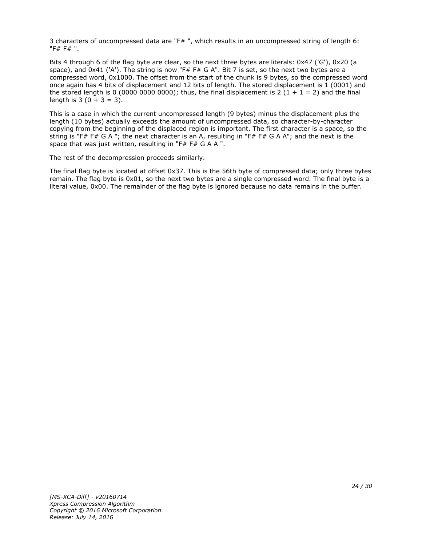3 characters of uncompressed data are "F# ", which results in an uncompressed string of length 6: "F# F# ".

Bits 4 through 6 of the flag byte are clear, so the next three bytes are literals: 0x47 ('G'), 0x20 (a space), and 0x41 ('A'). The string is now "F# F# G A". Bit 7 is set, so the next two bytes are a compressed word, 0x1000. The offset from the start of the chunk is 9 bytes, so the compressed word once again has 4 bits of displacement and 12 bits of length. The stored displacement is 1 (0001) and the stored length is 0 (0000 0000 0000); thus, the final displacement is 2 (1 + 1 = 2) and the final length is  $3(0 + 3 = 3)$ .

This is a case in which the current uncompressed length (9 bytes) minus the displacement plus the length (10 bytes) actually exceeds the amount of uncompressed data, so character-by-character copying from the beginning of the displaced region is important. The first character is a space, so the string is "F# F# G A "; the next character is an A, resulting in "F# F# G A A"; and the next is the space that was just written, resulting in "F# F# G A A ".

The rest of the decompression proceeds similarly.

The final flag byte is located at offset 0x37. This is the 56th byte of compressed data; only three bytes remain. The flag byte is 0x01, so the next two bytes are a single compressed word. The final byte is a literal value, 0x00. The remainder of the flag byte is ignored because no data remains in the buffer.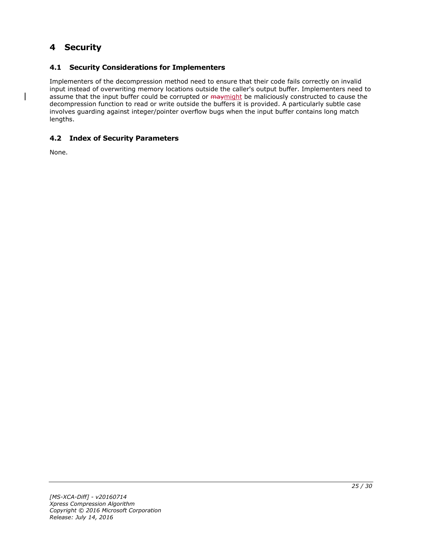# <span id="page-24-0"></span>**4 Security**

# <span id="page-24-1"></span>**4.1 Security Considerations for Implementers**

Implementers of the decompression method need to ensure that their code fails correctly on invalid input instead of overwriting memory locations outside the caller's output buffer. Implementers need to assume that the input buffer could be corrupted or may might be maliciously constructed to cause the decompression function to read or write outside the buffers it is provided. A particularly subtle case involves guarding against integer/pointer overflow bugs when the input buffer contains long match lengths.

### <span id="page-24-2"></span>**4.2 Index of Security Parameters**

None.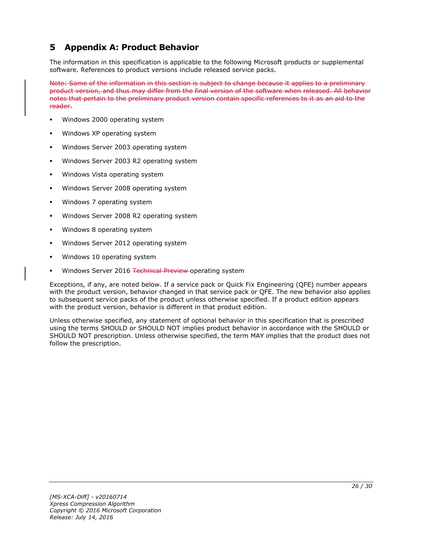# <span id="page-25-0"></span>**5 Appendix A: Product Behavior**

The information in this specification is applicable to the following Microsoft products or supplemental software. References to product versions include released service packs.

Note: Some of the information in this section is subject to change because it applies to a preliminary product version, and thus may differ from the final version of the software when released. All behavior notes that pertain to the preliminary product version contain specific references to it as an aid to the reader.

- Windows 2000 operating system
- Windows XP operating system
- Windows Server 2003 operating system
- Windows Server 2003 R2 operating system
- Windows Vista operating system
- Windows Server 2008 operating system
- Windows 7 operating system
- Windows Server 2008 R2 operating system
- Windows 8 operating system
- Windows Server 2012 operating system
- Windows 10 operating system
- Windows Server 2016 Technical Preview operating system

Exceptions, if any, are noted below. If a service pack or Quick Fix Engineering (QFE) number appears with the product version, behavior changed in that service pack or QFE. The new behavior also applies to subsequent service packs of the product unless otherwise specified. If a product edition appears with the product version, behavior is different in that product edition.

Unless otherwise specified, any statement of optional behavior in this specification that is prescribed using the terms SHOULD or SHOULD NOT implies product behavior in accordance with the SHOULD or SHOULD NOT prescription. Unless otherwise specified, the term MAY implies that the product does not follow the prescription.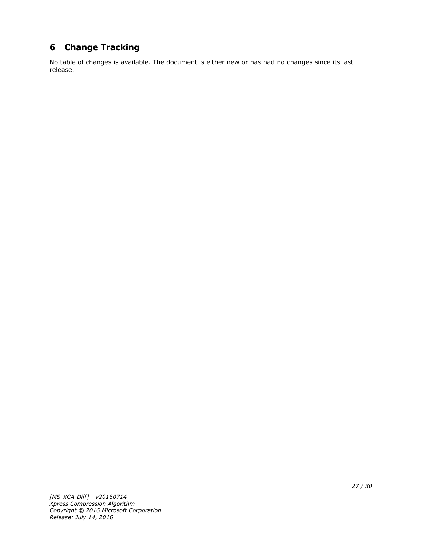# <span id="page-26-0"></span>**6 Change Tracking**

No table of changes is available. The document is either new or has had no changes since its last release.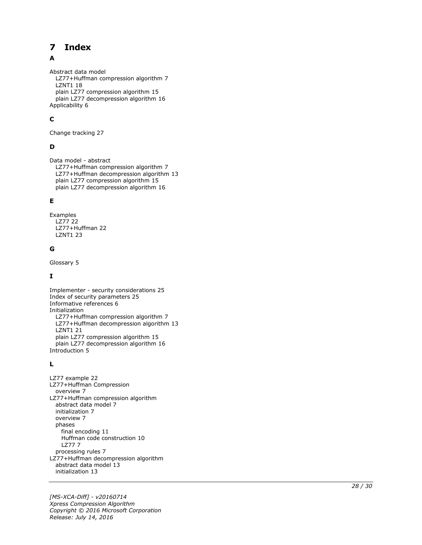#### <span id="page-27-0"></span> $\overline{\mathbf{z}}$ **Index**

# A

Abstract data model LZ77+Huffman compression algorithm 7 LZNT1 18 plain LZ77 compression algorithm 15 plain LZ77 decompression algorithm 16 Applicability 6

# **C**

Change tracking 27

# **D**

Data model - abstract LZ77+Huffman compression algorithm 7 LZ77+Huffman decompression algorithm 13 plain LZ77 compression algorithm 15 plain LZ77 decompression algorithm 16

### **E**

Examples LZ77 22 LZ77+Huffman 22 LZNT1 23

#### **G**

Glossary 5

### **I**

Implementer - security considerations 25 Index of security parameters 25 Informative references 6 Initialization LZ77+Huffman compression algorithm 7 LZ77+Huffman decompression algorithm 13 LZNT1 21 plain LZ77 compression algorithm 15 plain LZ77 decompression algorithm 16 Introduction 5

### **L**

**7** Index<br>
Abstract data model<br>
LZ77+Huffman compusary<br>
plain LZ77 compress<br>
plain LZ77 decompress<br>
plain LZ77 decompress<br>
plain LZ77 decompress<br> **C**<br>
Change tracking 27<br> **D**<br>
Data model - abstract<br>
LZ77+Huffman decompress LZ77 example 22 LZ77+Huffman Compression overview 7 LZ77+Huffman compression algorithm abstract data model 7 initialization 7 overview 7 phases final encoding 11 Huffman code construction 10 LZ77 7 processing rules 7 LZ77+Huffman decompression algorithm abstract data model 13 initialization 13

*[MS -XCA -Diff] - v20160714 Xpress Compression Algorithm Copyright © 2016 Microsoft Corporation* Release: July 14, 2016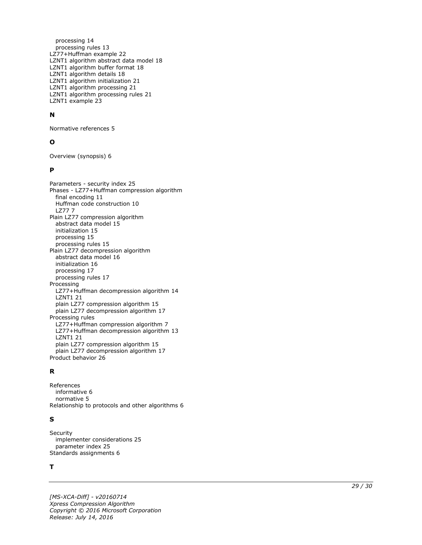processing 14 processing rules 13 LZ77+Huffman example 22 LZNT1 algorithm abstract data model 18 LZNT1 algorithm buffer format 18 LZNT1 algorithm details 18 LZNT1 algorithm initialization 21 LZNT1 algorithm processing 21 LZNT1 algorithm processing rules 21 LZNT1 example 23

#### **N**

Normative references 5

#### **O**

Overview (synopsis) 6

#### **P**

Parameters - security index 25 Phases - LZ77+Huffman compression algorithm final encoding 11 Huffman code construction 10 LZ77 7 Plain LZ77 compression algorithm abstract data model 15 initialization 15 processing 15 processing rules 15 Plain LZ77 decompression algorithm abstract data model 16 initialization 16 processing 17 processing rules 17 Processing LZ77+Huffman decompression algorithm 14 LZNT1 21 plain LZ77 compression algorithm 15 plain LZ77 decompression algorithm 17 Processing rules LZ77+Huffman compression algorithm 7 LZ77+Huffman decompression algorithm 13 LZNT1 21 plain LZ77 compression algorithm 15 plain LZ77 decompression algorithm 17 Product behavior 26

#### **R**

References informative 6 normative 5 Relationship to protocols and other algorithms 6

#### **S**

Security implementer considerations 25 parameter index 25 Standards assignments 6

#### **T**

*[MS -XCA -Diff] - v20160714 Xpress Compression Algorithm Copyright © 2016 Microsoft Corporation Release: July 14, 2016*